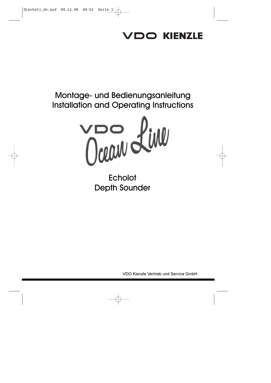# **/DO KIENZLE**

# Montage- und Bedienungsanleitung Installation and Operating Instructions



Echolot Depth Sounder

VDO Kienzle Vertrieb und Service GmbH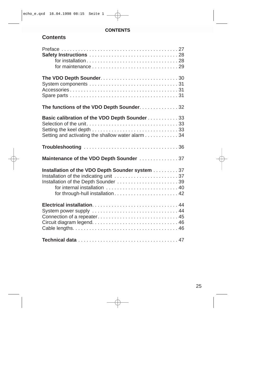## **CONTENTS**

# **Contents**

| The functions of the VDO Depth Sounder. 32        |
|---------------------------------------------------|
| Basic calibration of the VDO Depth Sounder 33     |
|                                                   |
|                                                   |
| Setting and activating the shallow water alarm 34 |
|                                                   |
| Maintenance of the VDO Depth Sounder 37           |
| Installation of the VDO Depth Sounder system 37   |
|                                                   |
| Installation of the Depth Sounder  39             |
|                                                   |
| for through-hull installation 42                  |
|                                                   |
| System power supply  44                           |
| Connection of a repeater 45                       |
|                                                   |
|                                                   |
|                                                   |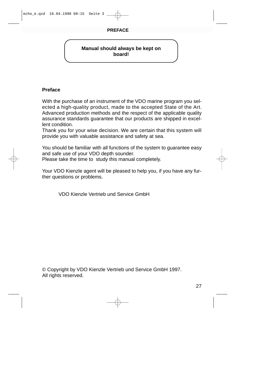## **Manual should always be kept on board!**

## **Preface**

With the purchase of an instrument of the VDO marine program you selected a high-quality product, made to the accepted State of the Art. Advanced production methods and the respect of the applicable quality assurance standards guarantee that our products are shipped in excellent condition.

Thank you for your wise decision. We are certain that this system will provide you with valuable assistance and safety at sea.

You should be familiar with all functions of the system to guarantee easy and safe use of your VDO depth sounder.

Please take the time to study this manual completely.

Your VDO Kienzle agent will be pleased to help you, if you have any further questions or problems.

VDO Kienzle Vertrieb und Service GmbH

© Copyright by VDO Kienzle Vertrieb und Service GmbH 1997. All rights reserved.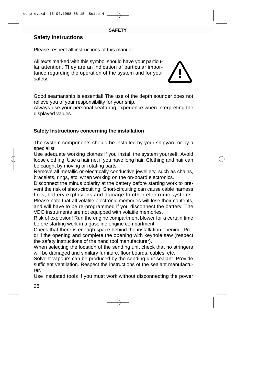# **Safety Instructions**

Please respect all instructions of this manual .

All texts marked with this symbol should have your particular attention. They are an indication of particular importance regarding the operation of the system and for your safety.

Good seamanship is essential! The use of the depth sounder does not relieve you of your responsibility for your ship.

Always use your personal seafaring experience when interpreting the displayed values.

# **Safety Instructions concerning the installation**

The system components should be installed by your shipyard or by a specialist.

Use adequate working clothes if you install the system yourself. Avoid loose clothing. Use a hair net if you have long hair. Clothing and hair can be caught by moving or rotating parts.

Remove all metallic or electrically conductive jewellery, such as chains, bracelets, rings, etc. when working on the on-board electronics.

Disconnect the minus polarity at the battery before starting work to prevent the risk of short-circuiting. Short-circuiting can cause cable harness fires, battery explosions and damage to other electronic systems. Please note that all volatile electronic memories will lose their contents,

and will have to be re-programmed if you disconnect the battery. The VDO instruments are not equipped with volatile memories.

Risk of explosion! Run the engine compartment blower for a certain time before starting work in a gasoline engine compartment.

Check that there is enough space behind the installation opening. Predrill the opening and complete the opening with keyhole saw (respect the safety instructions of the hand tool manufacturer).

When selecting the location of the sending unit check that no stringers will be damaged and similary furniture, floor boards, cables, etc.

Solvent vapours can be produced by the sending unit sealant. Provide sufficient ventilation. Respect the instructions of the sealant manufacturer.

Use insulated tools if you must work without disconnecting the power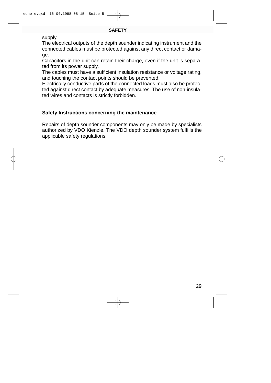#### **SAFETY**

supply.

The electrical outputs of the depth sounder indicating instrument and the connected cables must be protected against any direct contact or damage.

Capacitors in the unit can retain their charge, even if the unit is separated from its power supply.

The cables must have a sufficient insulation resistance or voltage rating, and touching the contact points should be prevented.

Electrically conductive parts of the connected loads must also be protected against direct contact by adequate measures. The use of non-insulated wires and contacts is strictly forbidden.

## **Safety Instructions concerning the maintenance**

Repairs of depth sounder components may only be made by specialists authorized by VDO Kienzle. The VDO depth sounder system fulfills the applicable safety regulations.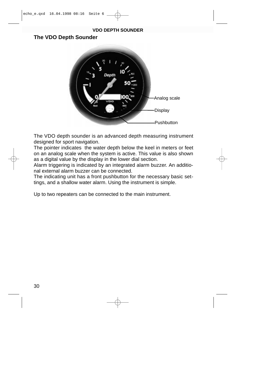#### **VDO DEPTH SOUNDER**

# **The VDO Depth Sounder**



The VDO depth sounder is an advanced depth measuring instrument designed for sport navigation.

The pointer indicates the water depth below the keel in meters or feet on an analog scale when the system is active. This value is also shown as a digital value by the display in the lower dial section.

Alarm triggering is indicated by an integrated alarm buzzer. An additional external alarm buzzer can be connected.

The indicating unit has a front pushbutton for the necessary basic settings, and a shallow water alarm. Using the instrument is simple.

Up to two repeaters can be connected to the main instrument.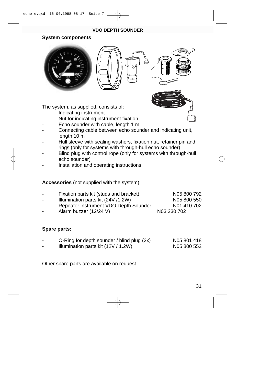#### **VDO DEPTH SOUNDER**

#### **System components**



The system, as supplied, consists of:

- Indicating instrument
- Nut for indicating instrument fixation
- Echo sounder with cable, length 1 m
- Connecting cable between echo sounder and indicating unit, length 10 m
- Hull sleeve with sealing washers, fixation nut, retainer pin and rings (only for systems with through-hull echo sounder)
- Blind plug with control rope (only for systems with through-hull echo sounder)
- Installation and operating instructions

## **Accessories** (not supplied with the system):

- Fixation parts kit (studs and bracket) N05 800 792  $Illumination parts kit  $(24V / 1.2W)$  N05 800 550$ Repeater instrument VDO Depth Sounder N01 410 702
- Alarm buzzer (12/24 V) N03 230 702

## **Spare parts:**

- O-Ring for depth sounder / blind plug (2x) N05 801 418
- Illumination parts kit  $(12V / 1.2W)$  N05 800 552

Other spare parts are available on request.

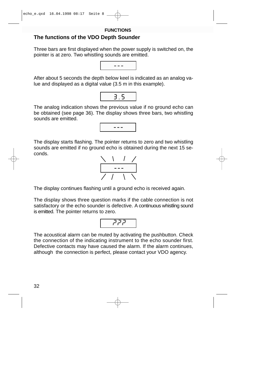32

**FUNCTIONS**

# **The functions of the VDO Depth Sounder**

Three bars are first displayed when the power supply is switched on, the pointer is at zero. Two whistling sounds are emitted.

After about 5 seconds the depth below keel is indicated as an analog value and displayed as a digital value (3.5 m in this example).

The analog indication shows the previous value if no ground echo can be obtained (see page 36). The display shows three bars, two whistling sounds are emitted.

---

The display starts flashing. The pointer returns to zero and two whistling sounds are emitted if no ground echo is obtained during the next 15 seconds.

The display continues flashing until a ground echo is received again.

The display shows three question marks if the cable connection is not satisfactory or the echo sounder is defective. A continuous whistling sound is emitted. The pointer returns to zero.

ججج

The acoustical alarm can be muted by activating the pushbutton. Check the connection of the indicating instrument to the echo sounder first. Defective contacts may have caused the alarm. If the alarm continues, although the connection is perfect, please contact your VDO agency.





3.5

---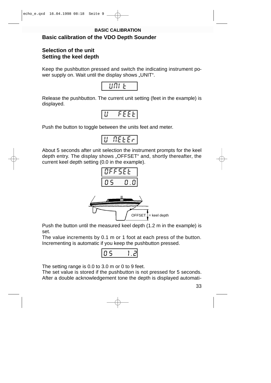# **Basic calibration of the VDO Depth Sounder BASIC CALIBRATION**

# **Selection of the unit Setting the keel depth**

Keep the pushbutton pressed and switch the indicating instrument power supply on. Wait until the display shows "UNIT".



Release the pushbutton. The current unit setting (feet in the example) is displayed.

|--|

Push the button to toggle between the units feet and meter.



About 5 seconds after unit selection the instrument prompts for the keel depth entry. The display shows "OFFSET" and, shortly thereafter, the current keel depth setting (0.0 in the example).



Push the button until the measured keel depth (1.2 m in the example) is set.

The value increments by 0.1 m or 1 foot at each press of the button. Incrementing is automatic if you keep the pushbutton pressed.



The setting range is 0.0 to 3.0 m or 0 to 9 feet.

The set value is stored if the pushbutton is not pressed for 5 seconds. After a double acknowledgement tone the depth is displayed automati-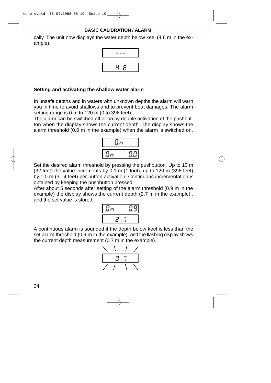#### **BASIC CALIBRATION / ALARM**

cally. The unit now displays the water depth below keel (4.6 m in the example).



## **Setting and activating the shallow water alarm**

In unsafe depths and in waters with unknown depths the alarm will warn you in time to avoid shallows and to prevent boat damages. The alarm setting range is 0 m to 120 m (0 to 396 feet).

The alarm can be switched off or on by double activation of the pushbutton when the display shows the current depth. The display shows the alarm threshold (0.0 m in the example) when the alarm is switched on.



Set the desired alarm threshold by pressing the pushbutton. Up to 10 m (32 feet) the value increments by 0.1 m (1 foot), up to 120 m (396 feet) by 1.0 m (3...4 feet) per button activation. Continuous incrementation is obtained by keeping the pushbutton pressed.

After about 5 seconds after setting of the alarm threshold (0.9 m in the example) the display shows the current depth (2.7 m in the example) , and the set value is stored.



A continuous alarm is sounded if the depth below keel is less than the set alarm threshold (0.9 m in the example), and the flashing display shows the current depth measurement (0.7 m in the example).

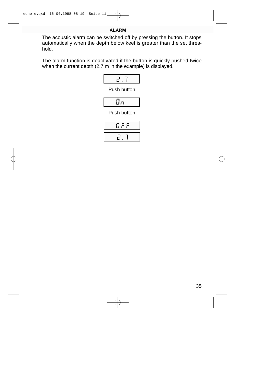#### **ALARM**

The acoustic alarm can be switched off by pressing the button. It stops automatically when the depth below keel is greater than the set threshold.

The alarm function is deactivated if the button is quickly pushed twice when the current depth (2.7 m in the example) is displayed.



Push button



Push button

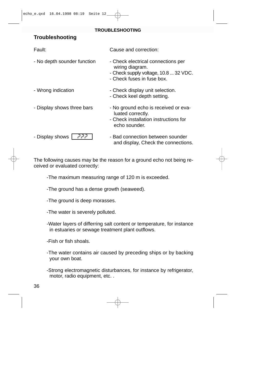#### **TROUBLESHOOTING**

# **Troubleshooting**

| Fault:                      | Cause and correction:                                                                                                        |
|-----------------------------|------------------------------------------------------------------------------------------------------------------------------|
| - No depth sounder function | - Check electrical connections per<br>wiring diagram.<br>- Check supply voltage, 10.8  32 VDC.<br>- Check fuses in fuse box. |
| - Wrong indication          | - Check display unit selection.<br>- Check keel depth setting.                                                               |
| - Display shows three bars  | - No ground echo is received or eva-<br>luated correctly.<br>- Check installation instructions for<br>echo sounder.          |
| - Display shows<br>- קקק    | - Bad connection between sounder<br>and display, Check the connections.                                                      |

The following causes may be the reason for a ground echo not being received or evaluated correctly:

-The maximum measuring range of 120 m is exceeded.

-The ground has a dense growth (seaweed).

-The ground is deep morasses.

-The water is severely polluted.

-Water layers of differring salt content or temperature, for instance in estuaries or sewage treatment plant outflows.

-Fish or fish shoals.

- -The water contains air caused by preceding ships or by backing your own boat.
- -Strong electromagnetic disturbances, for instance by refrigerator, motor, radio equipment, etc. .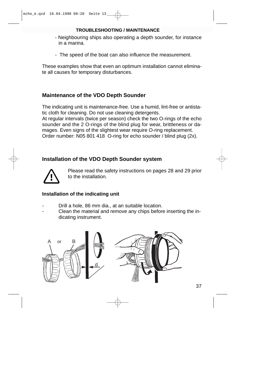#### **TROUBLESHOOTING / MAINTENANCE**

- Neighbouring ships also operating a depth sounder, for instance in a marina.
- The speed of the boat can also influence the measurement.

These examples show that even an optimum installation cannot eliminate all causes for temporary disturbances.

# **Maintenance of the VDO Depth Sounder**

The indicating unit is maintenance-free. Use a humid, lint-free or antistatic cloth for cleaning. Do not use cleaning detergents. At regular intervals (twice per season) check the two O-rings of the echo sounder and the 2 O-rings of the blind plug for wear, brittleness or damages. Even signs of the slightest wear require O-ring replacement. Order number: N05 801 418 O-ring for echo sounder / blind plug (2x).

# **Installation of the VDO Depth Sounder system**



Please read the safety instructions on pages 28 and 29 prior to the installation.

## **Installation of the indicating unit**

- Drill a hole, 86 mm dia., at an suitable location.
- Clean the material and remove any chips before inserting the indicating instrument.

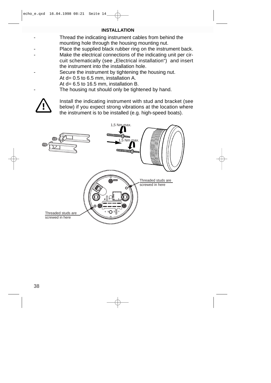Thread the indicating instrument cables from behind the mounting hole through the housing mounting nut.

Place the supplied black rubber ring on the instrument back. Make the electrical connections of the indicating unit per circuit schematically (see "Electrical installation") and insert the instrument into the installation hole.

Secure the instrument by tightening the housing nut.

At d= 0.5 to 6.5 mm, installation A.

At d= 6.5 to 16.5 mm, installation B.

The housing nut should only be tightened by hand.

Install the indicating instrument with stud and bracket (see below) if you expect strong vibrations at the location where the instrument is to be installed (e.g. high-speed boats).

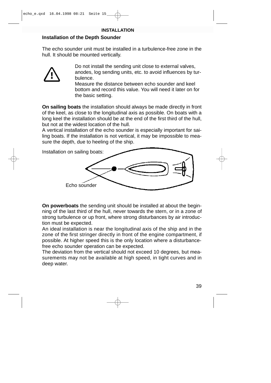# **Installation of the Depth Sounder**

The echo sounder unit must be installed in a turbulence-free zone in the hull. It should be mounted vertically.



Do not install the sending unit close to external valves, anodes, log sending units, etc. to avoid influences by turbulence.

Measure the distance between echo sounder and keel bottom and record this value. You will need it later on for the basic setting.

**On sailing boats** the installation should always be made directly in front of the keel, as close to the longitudinal axis as possible. On boats with a long keel the installation should be at the end of the first third of the hull, but not at the widest location of the hull.

A vertical installation of the echo sounder is especially important for sailing boats. If the installation is not vertical, it may be impossible to measure the depth, due to heeling of the ship.



**On powerboats** the sending unit should be installed at about the beginning of the last third of the hull, never towards the stern, or in a zone of strong turbulence or up front, where strong disturbances by air introduction must be expected.

An ideal installation is near the longitudinal axis of the ship and in the zone of the first stringer directly in front of the engine compartment, if possible. At higher speed this is the only location where a disturbancefree echo sounder operation can be expected.

The deviation from the vertical should not exceed 10 degrees, but measurements may not be available at high speed, in tight curves and in deep water.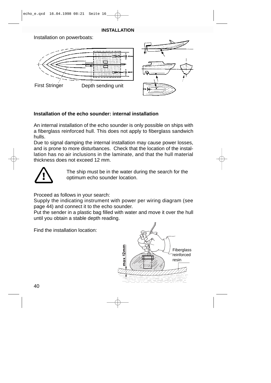Installation on powerboats:



## **Installation of the echo sounder: internal installation**

An internal installation of the echo sounder is only possible on ships with a fiberglass reinforced hull. This does not apply to fiberglass sandwich hulls.

Due to signal damping the internal installation may cause power losses, and is prone to more disturbances. Check that the location of the installation has no air inclusions in the laminate, and that the hull material thickness does not exceed 12 mm.



The ship must be in the water during the search for the optimum echo sounder location.

Proceed as follows in your search:

Supply the indicating instrument with power per wiring diagram (see page 44) and connect it to the echo sounder.

Put the sender in a plastic bag filled with water and move it over the hull until you obtain a stable depth reading.

Find the installation location:

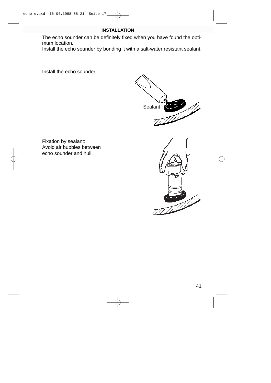The echo sounder can be definitely fixed when you have found the optimum location.

Install the echo sounder by bonding it with a salt-water resistant sealant.

Install the echo sounder:



Fixation by sealant: Avoid air bubbles between echo sounder and hull.

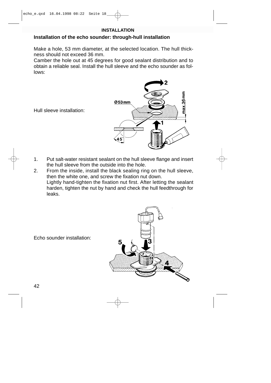### **Installation of the echo sounder: through-hull installation**

Make a hole, 53 mm diameter, at the selected location. The hull thickness should not exceed 36 mm.

Camber the hole out at 45 degrees for good sealant distribution and to obtain a reliable seal. Install the hull sleeve and the echo sounder as follows:



Hull sleeve installation:

- 1. Put salt-water resistant sealant on the hull sleeve flange and insert the hull sleeve from the outside into the hole.
- 2. From the inside, install the black sealing ring on the hull sleeve, then the white one, and screw the fixation nut down. Lightly hand-tighten the fixation nut first. After letting the sealant harden, tighten the nut by hand and check the hull feedthrough for leaks.

Echo sounder installation:

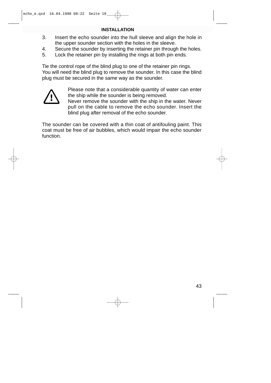- 3. Insert the echo sounder into the hull sleeve and align the hole in the upper sounder section with the holes in the sleeve.
- 4. Secure the sounder by inserting the retainer pin through the holes.
- 5. Lock the retainer pin by installing the rings at both pin ends.

Tie the control rope of the blind plug to one of the retainer pin rings. You will need the blind plug to remove the sounder. In this case the blind plug must be secured in the same way as the sounder.



Please note that a considerable quantity of water can enter the ship while the sounder is being removed.

Never remove the sounder with the ship in the water. Never pull on the cable to remove the echo sounder. Insert the blind plug after removal of the echo sounder.

The sounder can be covered with a thin coat of antifouling paint. This coat must be free of air bubbles, which would impair the echo sounder function.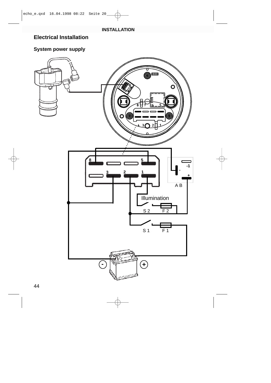# **Electrical Installation**

# **System power supply**

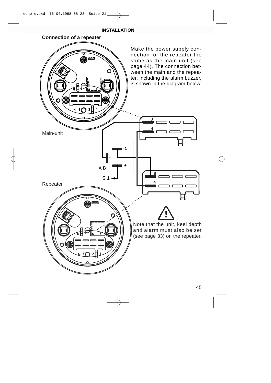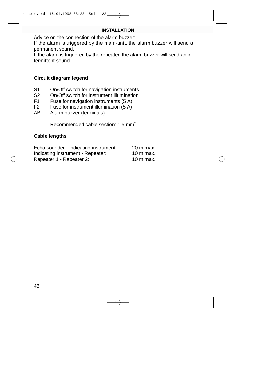Advice on the connection of the alarm buzzer:

If the alarm is triggered by the main-unit, the alarm buzzer will send a permanent sound.

If the alarm is triggered by the repeater, the alarm buzzer will send an intermittent sound.

## **Circuit diagram legend**

- S1 On/Off switch for navigation instruments
- S2 On/Off switch for instrument illumination<br>F1 Fuse for navigation instruments (5 A)
- F1 Fuse for navigation instruments (5 A)<br>F2 Fuse for instrument illumination (5 A)
- Fuse for instrument illumination  $(5 A)$
- AB Alarm buzzer (terminals)

Recommended cable section: 1.5 mm2

# **Cable lengths**

| Echo sounder - Indicating instrument: | 20 m max.           |
|---------------------------------------|---------------------|
| Indicating instrument - Repeater:     | $10 \text{ m}$ max. |
| Repeater 1 - Repeater 2:              | $10 \text{ m}$ max. |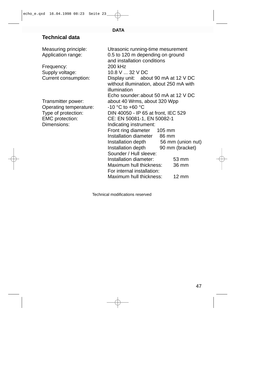#### **DATA**

# **Technical data**

Frequency: 200 kHz Supply voltage: 10.8 V ... 32 V DC

Operating temperature:  $-10 \degree C$  to +60  $\degree C$ Dimensions: Indicating instrument:

Measuring principle: Utrasonic running-time mesurement Application range: 0.5 to 120 m depending on ground and installation conditions Current consumption: Display unit: about 90 mA at 12 V DC without illumination, about 250 mA with illumination Echo sounder:about 50 mA at 12 V DC Transmitter power: about 40 Wrms, about 320 Wpp Type of protection: DIN 40050 - IP 65 at front, IEC 529 EMC protection: CE: EN 50081-1, EN 50082-1 Front ring diameter 105 mm Installation diameter 86 mm Installation depth 56 mm (union nut) Installation depth 90 mm (bracket) Sounder / Hull sleeve: Installation diameter: 53 mm Maximum hull thickness: 36 mm For internal installation: Maximum hull thickness: 12 mm

Technical modifications reserved